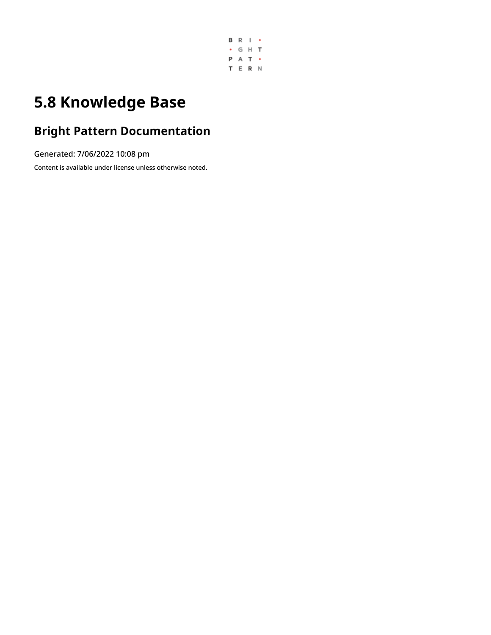

# **5.8 Knowledge Base**

### **Bright Pattern Documentation**

Generated: 7/06/2022 10:08 pm

Content is available under license unless otherwise noted.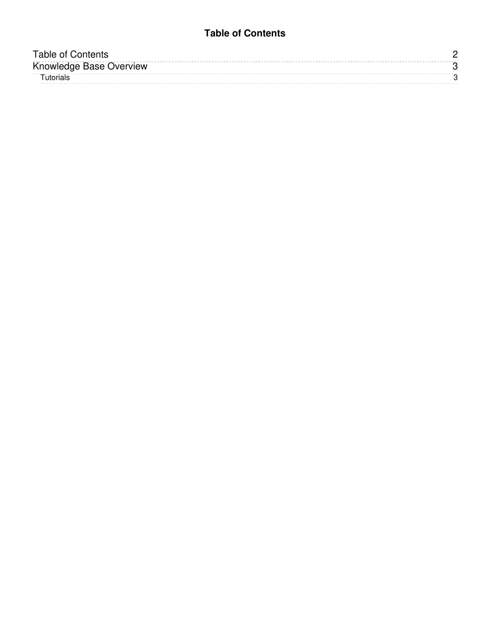#### **Table of Contents**

<span id="page-1-0"></span>

| Table of Contents       |  |
|-------------------------|--|
| Knowledge Base Overview |  |
| ūtorials                |  |